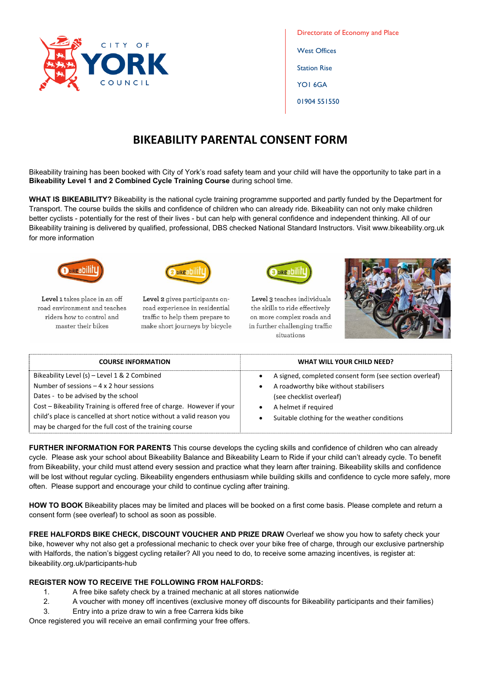

Directorate of Economy and Place West Offices Station Rise YO1 6GA 01904 551550

## **BIKEABILITY PARENTAL CONSENT FORM**

Bikeability training has been booked with City of York's road safety team and your child will have the opportunity to take part in a **Bikeability Level 1 and 2 Combined Cycle Training Course** during school time.

**WHAT IS BIKEABILITY?** Bikeability is the national cycle training programme supported and partly funded by the Department for Transport. The course builds the skills and confidence of children who can already ride. Bikeability can not only make children better cyclists - potentially for the rest of their lives - but can help with general confidence and independent thinking. All of our Bikeability training is delivered by qualified, professional, DBS checked National Standard Instructors. Visit www.bikeability.org.uk for more information



Level 1 takes place in an off road environment and teaches riders how to control and master their bikes



Level 2 gives participants onroad experience in residential traffic to help them prepare to make short journeys by bicycle



Level 3 teaches individuals the skills to ride effectively on more complex roads and in further challenging traffic situations



| <b>COURSE INFORMATION</b>                                              | <b>WHAT WILL YOUR CHILD NEED?</b>                       |
|------------------------------------------------------------------------|---------------------------------------------------------|
| Bikeability Level (s) - Level 1 & 2 Combined                           | A signed, completed consent form (see section overleaf) |
| Number of sessions $-4 \times 2$ hour sessions                         | A roadworthy bike without stabilisers                   |
| Dates - to be advised by the school                                    | (see checklist overleaf)                                |
| Cost - Bikeability Training is offered free of charge. However if your | A helmet if required                                    |
| child's place is cancelled at short notice without a valid reason you  | Suitable clothing for the weather conditions            |
| may be charged for the full cost of the training course                |                                                         |

**FURTHER INFORMATION FOR PARENTS** This course develops the cycling skills and confidence of children who can already cycle. Please ask your school about Bikeability Balance and Bikeability Learn to Ride if your child can't already cycle. To benefit from Bikeability, your child must attend every session and practice what they learn after training. Bikeability skills and confidence will be lost without regular cycling. Bikeability engenders enthusiasm while building skills and confidence to cycle more safely, more often. Please support and encourage your child to continue cycling after training.

**HOW TO BOOK** Bikeability places may be limited and places will be booked on a first come basis. Please complete and return a consent form (see overleaf) to school as soon as possible.

**FREE HALFORDS BIKE CHECK, DISCOUNT VOUCHER AND PRIZE DRAW** Overleaf we show you how to safety check your bike, however why not also get a professional mechanic to check over your bike free of charge, through our exclusive partnership with Halfords, the nation's biggest cycling retailer? All you need to do, to receive some amazing incentives, is register at: bikeability.org.uk/participants-hub

## **REGISTER NOW TO RECEIVE THE FOLLOWING FROM HALFORDS:**

- 1. A free bike safety check by a trained mechanic at all stores nationwide
- 2. A voucher with money off incentives (exclusive money off discounts for Bikeability participants and their families)
- 3. Entry into a prize draw to win a free Carrera kids bike

Once registered you will receive an email confirming your free offers.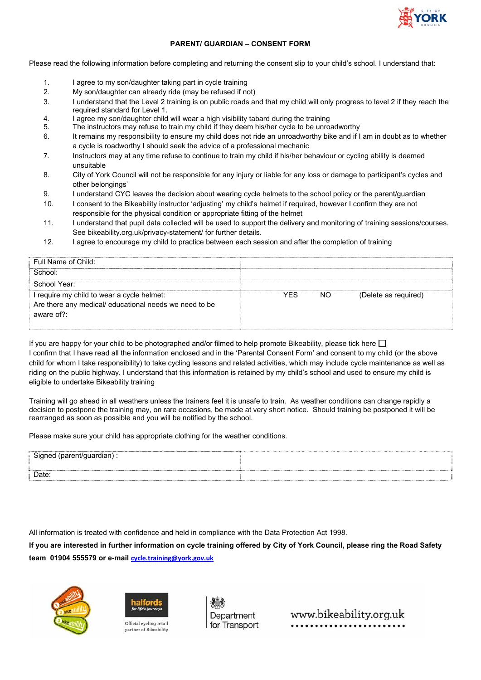

## **PARENT/ GUARDIAN – CONSENT FORM**

Please read the following information before completing and returning the consent slip to your child's school. I understand that:

- 1. I agree to my son/daughter taking part in cycle training
- 2. My son/daughter can already ride (may be refused if not)
- 3. I understand that the Level 2 training is on public roads and that my child will only progress to level 2 if they reach the required standard for Level 1.
- 4. I agree my son/daughter child will wear a high visibility tabard during the training
- 5. The instructors may refuse to train my child if they deem his/her cycle to be unroadworthy
- 6. It remains my responsibility to ensure my child does not ride an unroadworthy bike and if I am in doubt as to whether a cycle is roadworthy I should seek the advice of a professional mechanic
- 7. Instructors may at any time refuse to continue to train my child if his/her behaviour or cycling ability is deemed unsuitable
- 8. City of York Council will not be responsible for any injury or liable for any loss or damage to participant's cycles and other belongings'
- 9. I understand CYC leaves the decision about wearing cycle helmets to the school policy or the parent/guardian
- 10. I consent to the Bikeability instructor 'adjusting' my child's helmet if required, however I confirm they are not responsible for the physical condition or appropriate fitting of the helmet
- 11. I understand that pupil data collected will be used to support the delivery and monitoring of training sessions/courses. See bikeability.org.uk/privacy-statement/ for further details.
- 12. I agree to encourage my child to practice between each session and after the completion of training

| Full Name of Child:                                    |            |     |                      |
|--------------------------------------------------------|------------|-----|----------------------|
| School:                                                |            |     |                      |
| School Year:                                           |            |     |                      |
| I require my child to wear a cycle helmet:             | <b>YFS</b> | NO. | (Delete as required) |
| Are there any medical/ educational needs we need to be |            |     |                      |
| aware of?:                                             |            |     |                      |
|                                                        |            |     |                      |

If you are happy for your child to be photographed and/or filmed to help promote Bikeability, please tick here  $\Box$ I confirm that I have read all the information enclosed and in the 'Parental Consent Form' and consent to my child (or the above child for whom I take responsibility) to take cycling lessons and related activities, which may include cycle maintenance as well as riding on the public highway. I understand that this information is retained by my child's school and used to ensure my child is eligible to undertake Bikeability training

Training will go ahead in all weathers unless the trainers feel it is unsafe to train. As weather conditions can change rapidly a decision to postpone the training may, on rare occasions, be made at very short notice. Should training be postponed it will be rearranged as soon as possible and you will be notified by the school.

Please make sure your child has appropriate clothing for the weather conditions.

| Date: |  |  |
|-------|--|--|

All information is treated with confidence and held in compliance with the Data Protection Act 1998.

**If you are interested in further information on cycle training offered by City of York Council, please ring the Road Safety team 01904 555579 or e-mail cycle.training@york.gov.uk**





Official cycling retail partner of Bikeability

Department for Transport

www.bikeability.org.uk